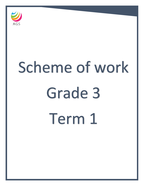

# Scheme of work Grade 3 Term 1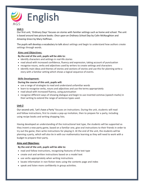

# **Unit 1**

Our first unit, 'Ordinary Days' focuses on stories with familiar settings such as home and school. The unit is based around two picture books: *Once upon an Ordinary School Day* by Colin McNaughton and *Amazing Grace* by Mary Hoffman.

The pupils will develop a vocabulary to talk about settings and begin to understand how authors create settings through words.

## **Aims and Objectives:**

## **By the end of the unit, pupils will be able to:**

- identify characters and settings in real-life stories
- read aloud with increased confidence, fluency and expression, taking account of punctuation
- recognise nouns, verbs and adjectives used by writers to create settings and characters
- identify main ideas and themes of stories and sections of stories and use this for planning write a story with a familiar setting which shows a logical sequence of events.

## **Skills Development:**

## **During the course of this unit, pupils will:**

- use a range of strategies to read and understand unfamiliar words
- learn to recognise verbs, nouns and adjectives and use the terms appropriately
- read aloud with increased fluency, using punctuation
- recognise different ways of showing dialogue and begin to use inverted commas (speech marks) in their writing to extend the range of sentence types used.

# **Unit 2**

Our second unit, 'Let's have a Party' focuses on instructions. During the unit, students will read and follow instructions, first to create a pop-up invitation, then to prepare for a party, including using recipe books and writing shopping lists.

Having developed an understanding of the instructional text type, the students will be supported as they invent a new party game, based on a familiar one, give oral instructions to their friends in order to try out the game, then write instructions for playing it. At the end of the unit, the students will be planning a party, which will also tie in with our mathematics learning as they will need to work with a budget to prepare their party.

## **Aims and Objectives:**

## **By the end of the unit, pupils will be able to:**

- read and follow instructions, recognising features of the text type
- create oral and written instructions based on a model text
- use verbs appropriately when writing instructions
- locate information in non-fiction texts using the contents page and index
- speak and listen more confidently in group activities.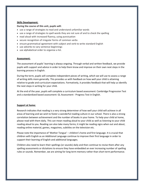#### **Skills Development:**

#### **During the course of this unit, pupils will:**

- use a range of strategies to read and understand unfamiliar words
- use a range of strategies to spell words they are not sure of and to check the spelling
- read aloud with increased fluency, using punctuation
- secure recognition of irregular forms of common verbs
- ensure grammatical agreement with subject and verb to write standard English
- use adverbs to vary sentence beginnings
- use alphabetical order to organise a list.

#### **Assessment:**

The assessment of pupils' learning is always ongoing. Through verbal and written feedback, we provide pupils with support and advice in order to help them know and improve on their own next steps in the learning process in English.

During the term, pupils will complete independent pieces of writing, which we will use to assess a range of writing skills more generally. This provides us with feedback on how well your child is attaining relative to grade and curriculum expectations. Formatively, it provides feedback that will help us identify the next steps in writing for your child.

At the end of the year, pupils will complete a curriculum based assessment: Cambridge Progression Test and a standardized based assessment: GL Assessment - Progress Test in English.

#### **Support at home:**

Research indicates that reading is a very strong determiner of how well your child will achieve in all areas of learning and we wish to foster a wonderful reading culture in our school. There is also a strong correlation between achievement and the number of books in your home. To help your child at home, please read with them daily. This can mean reading aloud to your child as well as listening to your child reading aloud to you. Reading can also take many forms; it might be reading signs when out and about, reading online material, games, magazines, subtitles on the television etc.

Please note the importance of 'Mother Tongue' – children's home and first language. It is crucial that children with English as an Additional Language continue to improve their first language in order to support their learning of English and additional languages.

Children also need to learn their spellings (or sounds) daily and then continue to revise them after any spelling assessments or dictations to ensure they have embedded an ever increasing number of spelling rules or sounds. Remember, we are aiming for long term memory rather than short term performance.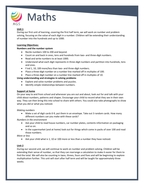

# **Unit 1**

During our first unit of learning, covering the first half term, we will work on number and problem solving, focusing on the value of each digit in a number. Children will be extending their understanding of number into the hundreds and up to 1000.

## **Learning Objectives:**

## **Numbers and the number system**

- Recite numbers 100 to 200 and beyond.
- Count on and back in ones, tens and hundreds from two- and three-digit numbers.
- Read and write numbers to at least 1000.
- Understand what each digit represents in three-digit numbers and partition into hundreds, tens and ones.
- Find 1, 10, 100 more/less than two- and three-digit numbers.
- Place a three-digit number on a number line marked off in multiples of 100.
- Place a three-digit number on a number line marked off in multiples of 10.

## **Using understanding and strategies in solving problems**

- Explore and solve number problems and puzzles.
- Identify simple relationships between numbers.

## **Support at home**

On your way to and from school and whenever you are out and about, look out for and talk with your child about numbers, patterns and shapes. Encourage your child to record what they see in their own way. They can then bring this into school to share with others. You could also take photographs to show what you did or what you noticed.

## *Making numbers*

 Make a set of digit cards 0-9, put them in an envelope. Take out 3 random cards. How many different numbers can you make with these cards?

*Numbers in the environment*

- Ask your child to read house numbers, car number plates, contents information on packaging and so on.
- In the supermarket (and at home) look out for things which come in packs of over 100 and read those numbers.

*More or less*

Ask your child what is 1, 10 or 100 more or less than a number they have noticed.

## **Unit 2**

During our second unit, we will continue to work on number and problem solving. Children will be extending their sense of number, so that they can rearrange a calculation to make it easier for them to find the total. We will also be counting in twos, threes, fours and fives and will be beginning to explore multiplication further. This unit will start after half term and will be taught for approximately three weeks.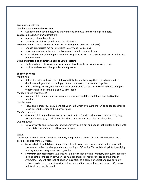#### **Learning Objectives:**

#### **Numbers and the number system**

 Count on and back in ones, tens and hundreds from two- and three-digit numbers. **Calculation** (*Addition and subtraction*)

- Add several small numbers.
- Re-order an addition to help with the calculation.

**Problem solving** (*Using techniques and skills in solving mathematical problems*)

- Choose appropriate mental strategies to carry out calculations.
- Make sense of and solve word problems and begin to represent them.
- Check the results of adding two numbers using subtraction, and several numbers by adding in a different order.

## **Using understanding and strategies in solving problems**

- Explain a choice of calculation strategy and show how the answer was worked out.
- Explore and solve number problems and puzzles.

## **Support at home**

*Multiplying*

- Roll a dice twice and ask your child to multiply the numbers together. If you have a set of dominoes, ask your child to multiply the two numbers on the domino together.
- Print a 100 square grid, mark out multiples of 2, 5 and 10. Use this to count in those multiples together and to learn the 2, 5 and 10 times tables.

*Numbers in the environment*

 Ask your child to read numbers in your environment and then find double (or half) of the number.

*Number pairs*

 Focus on a number such as 20 and ask your child which two numbers can be added together to make 20. Can they find all the number pairs?

*Number sentences*

Give your child a number sentence such as  $11 + 9 = 20$  and ask them to make up a story to go with it. For example, I had 11 marbles, then I won another 9 so I had 20 altogether.

*Out and about*

 On your way to and from school and whenever you are out and about, look out for and talk with your child about numbers, patterns and shapes.

## **Unit 3**

During our third unit, we will work on geometry and problem solving. This unit will be taught over a period of approximately 2 weeks.

- **Shapes, both 2 and 3 dimensional:** Students will explore and draw regular and irregular 2D shapes and revise knowledge and understanding of 3-D solids. This will develop into identifying, making and describing prisms and pyramids
- **Symmetry and movement:** Students will explore the idea of line symmetry of regular shapes by looking at the connection between the number of sides of regular shapes and the lines of symmetry. They will also look at position in relation to a person or object and give or follow instructions for movement involving distances, directions and half or quarter turns. Compass points will also be discussed.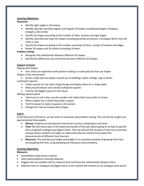#### **Learning Objectives:**

#### **Geometry**

- Identify right angles in 2D shapes.
- Identify, describe and draw regular and irregular 2D shapes including pentagons, hexagons, octagons, semi-circles.
- Classify 2D shapes according to the number of sides, vertices and right angles.
- Identify, describe and make 3D shapes including pyramids and prisms, investigate which nets will make a cube.
- Classify 3D shapes according to the number and shape of faces, number of vertices and edges.
- Relate 2D shapes and 3D solids to drawings of them.

## **Problem solving**

- Recognise the relationships between different 2D shapes.
- Identify the differences and similarities between different 3D shapes.

## **Support at home**

## *Playing with shapes*

 Your child can experiment with pattern making or create pictures that use shapes *Shapes in the environment*

Go for a walk and see shapes around you in buildings, paths, railings, rugs or bricks.

# *Looking for squares*

- Collect square (or any other shape) things and display them on a 'shape table'
- Walk around indoors and outside looking for squares
- Look for the biggest square in the house.

## *Making squares game*

- Take turns to roil a dice, say the number and collect that many sticks or straws.
- When a player has 4 sticks they build a square.
- The first player to make 4 squares is the winner.
- Change the rules to include other shapes.

## **Unit 4**

In the final unit of the term, we will work on measures and problem solving. This unit will be taught over approximately three weeks.

- **Money:** Students are introduced to American currency using dollars and cents.
- **Time:** We will revise days of the week and months of the year before going on to look at specific time using both analogue and digital clocks. Then we will put the concept of time into a practical concept where students can begin to understand why we need to know about the measurements of different time intervals.
- **Measures:** The activities put height and weight in an everyday situation of growing fruit trees and weighing the fruit, using doubling and halving to solve problems.

## **Learning Objectives:**

## **Measures**

- Consolidate using money notation.
- Solve word problems involving measures.
- Suggest and use suitable units to measure time and know the relationships between them.
- Read the time on analogue and digital clocks to the nearest five minutes on an analogue clock and to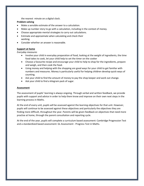the nearest minute on a digital clock.

## **Problem solving**

- Make a sensible estimate of the answer to a calculation.
- Make up number story to go with a calculation, including in the context of money.
- Choose appropriate mental strategies to carry out calculations.
- Estimate and approximate when calculating and check their working.
- Consider whether an answer is reasonable.

## **Support at home**

## *Everyday measures*

- Involve your child in everyday preparation of food, looking at the weight of ingredients, the time food takes to cook, let your child help to set the timer on the cooker
- Choose a favourite recipe and encourage your child to help to shop for the ingredients, prepare and weigh, and then cook the food.
- Using money and helping with the shopping are good ways for your child to get familiar with numbers and measures. Money is particularly useful for helping children develop quick ways of counting.
- Ask your child to find the amount of money to pay the shop keeper and work out change.
- Ask your child to find a kilogram pack of sugar.

## **Assessment**

The assessment of pupils' learning is always ongoing. Through verbal and written feedback, we provide pupils with support and advice in order to help them know and improve on their own next steps in the learning process in Maths.

At the end of every unit, pupils will be assessed against the learning objectives for that unit. However, pupils will continue to be assessed against these objectives and particularly the objectives they are finding more difficult, throughout the year. Parents will be given feedback on objectives that need more practise at home, through the parent consultation and reporting cycle.

At the end of the year, pupils will complete a curriculum based assessment: Cambridge Progression Test and a standardized based assessment: GL Assessment - Progress Test in Maths.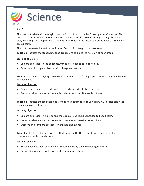

## **Unit 1**

The first unit, which will be taught over the first half term is called 'Looking After Ourselves'. This unit teaches the students about how they can look after themselves through eating a balanced diet, exercising and sleeping well. Students will also learn the impact different types of drink have on our teeth.

The unit is separated in to four topic area. Each topic is taught over two weeks.

**Topic 1** introduces the students to food groups and explains the function of each group.

#### **Learning objectives**

- Explore and research the adequate, varied diet needed to keep healthy.
- Observe and compare objects, living things and events.

**Topic 2** uses a food triangle/plate to show how much each food group contributes to a healthy and balanced diet.

#### **Learning objectives**

- Explore and research the adequate, varied diet needed to keep healthy.
- Collect evidence in a variety of contexts to answer questions or test ideas.

**Topic 3** introduces the idea that diet alone is not enough to keep us healthy. Our bodies also need regular exercise and sleep.

#### **Learning objectives**

- Explore and research exercise and the adequate, varied diet needed to keep healthy.
- Collect evidence in a variety of contexts to answer questions or test ideas.
- Observe and compare objects, living things and events.

**Topic 4** looks at how the food we eat affects our health. There is a strong emphasis on the consequences of too much sugar.

#### **Learning objectives**

- Know that some foods such as very sweet or very fatty can be damaging to health.
- Suggest ideas, make predictions and communicate these.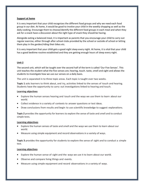#### **Support at home**

It is very important that your child recognizes the different food groups and why we need each food group in our diet. At home, it would be good to involve your child in the weekly shopping as well as the daily cooking. Encourage them to choose/identify the different food groups in each meal and when they ask for a snack have a discussion about the right type of snack they should be having.

Alongside eating a balanced meal, it is important as parents that you encourage your child to carry out regular exercise, either through after school clubs provided by the school or outside of school or letting them play in the garden/riding their bikes etc.

It is very important that your child gets a good night sleep every night. At home, it is vital that your child has a good bedtime routine established and they are getting enough hours of sleep every night.

#### **Unit 2**

The second unit, which will be taught over the second half of the term is called 'Our Five Senses'. This unit teaches the student what the five senses are; hearing, touch. taste, smell and sight and allows the students to investigate how we use our senses on a daily basis.

The unit is separated in to three topic areas. Each topic is taught over two weeks.

**Topic 1** asks learners to think about, and try, activities linked to the senses of touch and hearing. Students have the opportunity to carry out investigations linked to hearing and touch.

#### **Learning objectives**

- Explore the human senses hearing and touch and the ways we use them to learn about our world.
- Collect evidence in a variety of contexts to answer questions or test ideas.
- Draw conclusions from results and begin to use scientific knowledge to suggest explanations.

**Topic 2** provides the opportunity for learners to explore the sense of taste and smell and to conduct simple tests.

#### **Learning objectives**

- Explore the human senses of taste and smell and the ways we use them to learn about our world.
- Measure using simple equipment and record observations in a variety of ways.

**Topic 3** provides the opportunity for students to explore the sense of sight and to conduct a simple test.

#### **Learning objectives**

- Explore the human sense of sight and the ways we use it to learn about our world.
- Observe and compare living things and events.
- Measure using simple equipment and record observations in a variety of ways.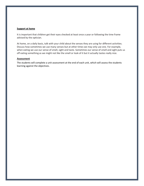#### **Support at home**

It is important that children get their eyes checked at least once a year or following the time frame advised by the optician.

At home, on a daily basis, talk with your child about the senses they are using for different activities. Discuss how sometimes we use many senses but at other times we may only use one. For example, when eating we use our sense of smell, sight and taste. Sometimes our sense of smell and sight puts us off eating something as we might not like the smell or look of it but it actually tastes really nice.

#### **Assessment**

The students will complete a unit assessment at the end of each unit, which will assess the students learning against the objectives.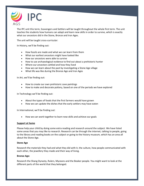

The IPC unit this term, Scavengers and Settlers will be taught throughout the whole first term. The unit teaches the students how humans can adapt and learn new skills in order to survive, which is exactly what our ancestors did in the Stone, Bronze and Iron Ages.

The unit will be taught cross-curricular:

In History, we'll be finding out:

- How fossils are made and what we can learn from them
- What our earliest ancestors might have looked like
- How our ancestors were able to survive
- How to use archaeological evidence to find out about a prehistoric hunter
- Where our ancestors settled and how they lived
- How we can learn about the past by investigating a Stone Age village
- What life was like during the Bronze Age and Iron Ages

In Art, we'll be finding out:

- How to create our own prehistoric cave paintings
- How to make and decorate pottery, based on one of the periods we have explored

In Technology we'll be finding out:

- About the types of foods that the first farmers would have grown
- How we can update the dishes that the early settlers may have eaten

In International, we'll be finding out:

• How we can work together to learn new skills and achieve our goals

#### **Support at home**

Please help your child by doing some extra reading and research around the subject. We have listed some areas that you may like to research. Research can be through the internet, talking to people, going to the library and reading books on the subject or going to the history museum, which has an area all about the Stone Age.

#### **Stone Age**

Research the materials they had and what they did with it, the culture, how people communicated with each other, the jewellery they made and their way of living.

#### **Bronze Age:**

Research the Shang Dynasty, Rulers, Myceans and the Beaker people. You might want to look at the different parts of the world that they belonged.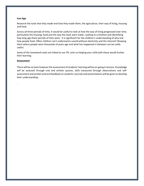#### **Iron Age**

Research the tools that they made and how they made them, the agriculture, their way of living, housing and food.

Across all three periods of time, it would be useful to look at how the way of living progressed over time, particularly the housing, food and the way the tools were made. Looking at a timeline and identifying how long ago these periods of time were. It is significant for the children's understanding of why and how people lived. Often children can't understand a world without electricity and the internet! Showing them where people were thousands of years ago and what has happened in between can be really useful.

Some of the homework tasks are linked to our IPC units so helping your child with these would further their learning.

#### **Assessment**

.

There will be no tests however the assessment of students' learning will be on-going in lessons. Knowledge will be assessed through oral and written quizzes, skills measured through observations and selfassessment and written and oral feedback on students' journals and presentations will be given to develop their understanding.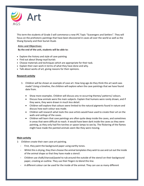

This term the students of Grade 3 will commence a new IPC Topic "Scavengers and Settlers". They will focus on the prehistoric paintings that have been discovered in caves all over the world as well as the Shang Dynasty and their burial rituals

## **Aims and Objectives:**

**By the end of the unit, students will be able to:**

- Explore the history and style of cave painting
- Find out about Shang royal burials
- Choose materials and techniques which are appropriate for their task.
- Explain their own work in terms of what they have done and why.
- Talk about works of art, giving reasons for their opinions.

## **Research activity**

- 1- Children will be shown an example of cave art. How long ago do they think this art work was made? Using a timeline, the children will explore when the cave paintings that we have found date from.
	- Show more examples. Children will discuss any re-occurring themes/ patterns/ colours.
	- Discuss how animals were the main subjects. Explain that humans were rarely drawn, and if they were, they were drawn in much less detail.
	- Children will explore that colours were limited to the natural pigments found in nature and discuss how each colour was made.
	- Children will research what tools the cave artists would have used to create their art on the walls and ceilings of the caves.
	- Children will learn that cave paintings are often quite deep inside the caves, and sometimes in areas that were difficult to reach. It would have been dark inside the caves as they were painting, as they only had fire torches or spoon lamps to see by. The flickering of the flames might have made the painted animals seem like they were moving.

## **Main activity**

- 1- Children create their own cave art painting.
	- First, they paint the background paper using earthy tones.
	- Whilst this is drying, they then choose the animal templates they wish to use and cut out the inside of the animal shape so that they have made a stencil.
	- Children use chalk/charcoal/pastel to rub around the outside of the stencil on their background paper, creating an outline. They use their fingers to blend this line.
	- A different colour can be used for the inside of the animal. They can use as many different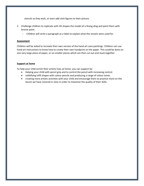stencils as they wish, or even add stick figures to their picture.

- 2. Challenge children to replicate with 3D shapes the model of a Shang ding and paint them with bronze paint.
	- Children will write a paragraph as a label to explain what the vessels were used for.

#### **Assessment**

Children will be asked to recreate their own version of the hand art cave paintings. Children can use hand art instructions to know how to create their own handprint on the paper. This could be done on one very large piece of paper, or on smaller pieces which are then cut out and stuck together.

#### **Support at home**

To help your child enrich their artistic lives at home, you can support by:

- Helping your child with pencil grip and to control the pencil with increasing control.
- solidifying infill shapes with colour pencils and producing a range of colour tones.
- creating more artistic activities with your child and encourage them to practice more on the lesson we have covered in class in order to maximize the quality of their skills.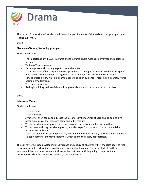

This term in Drama, Grade 3 students will be working on 'Elements of drama/key acting principles' and 'Fables & Morals'.

## **Unit 1**

## **Elements of Drama/Key acting principles:**

Students will learn:

- The importance of 'FREEZE' in drama and the drama studio rules as a performer and audience member.
- Tableaux/Freeze frames
- Facial expression/body language to create character
- The 3 principles of blocking and how to apply these to their performances. Students will spend time rehearsing and demonstrating these skills in various short performances in groups.
- How to create a story which is clear to understand to an audience focusing on clear structures, beginning/middle/end.
- The use of narration
- To begin building their confidence through consistent short performances to the class.

## **Unit 2**

#### **Fables and Morals:**

Students will learn:

- What a fable is.
- What a moral is.
- A variety of short fables and discuss the lessons learnt/meanings of each and be able to give other examples of these lessons being applied in real life.
- To read stories in small groups or to the class and concentrate on their vocalization.
- To re-create and adapt stories in groups, in order to perform short skits based on the fables learnt to an audience.
- Using the elements of drama previously learnt and being able to apply these to their fable topic.
- To begin forming innovative characters which add to their story appropriately.

The aim for term 1 is to develop initial confidence and ensure all students within the class begin to feel more comfortable performing in front of one another, if not already. For those students in the class whose confidence is more prominent, these skills assist them with beginning to improve their performances skills further whilst sustaining their confidence.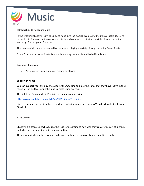

#### **Introduction to Keyboard Skills**

In the first unit students learn to sing and hand sign the musical scale using the musical scale do, re, mi, fa, sol, la, ti. They use their voices expressively and creatively by singing a variety of songs including Wake Up, Shake Up and Together.

Their sense of rhythm is developed by singing and playing a variety of songs including Sweet Beets.

Grade 3 have an introduction to keyboards learning the song Mary Had A Little Lamb.

#### **Learning objectives**

Participate in unison and part singing or playing

#### **Support at home**

You can support your child by encouraging them to sing and play the songs that they have learnt in their music lesson and by singing the musical scale using do, re, mi.

This link from Primary Music Prodigies has some great activities:

<https://www.youtube.com/watch?v=z9WAvSPjHmY&t=582s>

Listen to a variety of music at home, perhaps exploring composers such as Vivaldi, Mozart, Beethoven, Stravinsky

#### **Assessment**

Students are assessed each week by the teacher according to how well they can sing as part of a group and whether they are singing in tune and in time.

They have an individual assessment on how accurately they can play Mary Had a Little Lamb